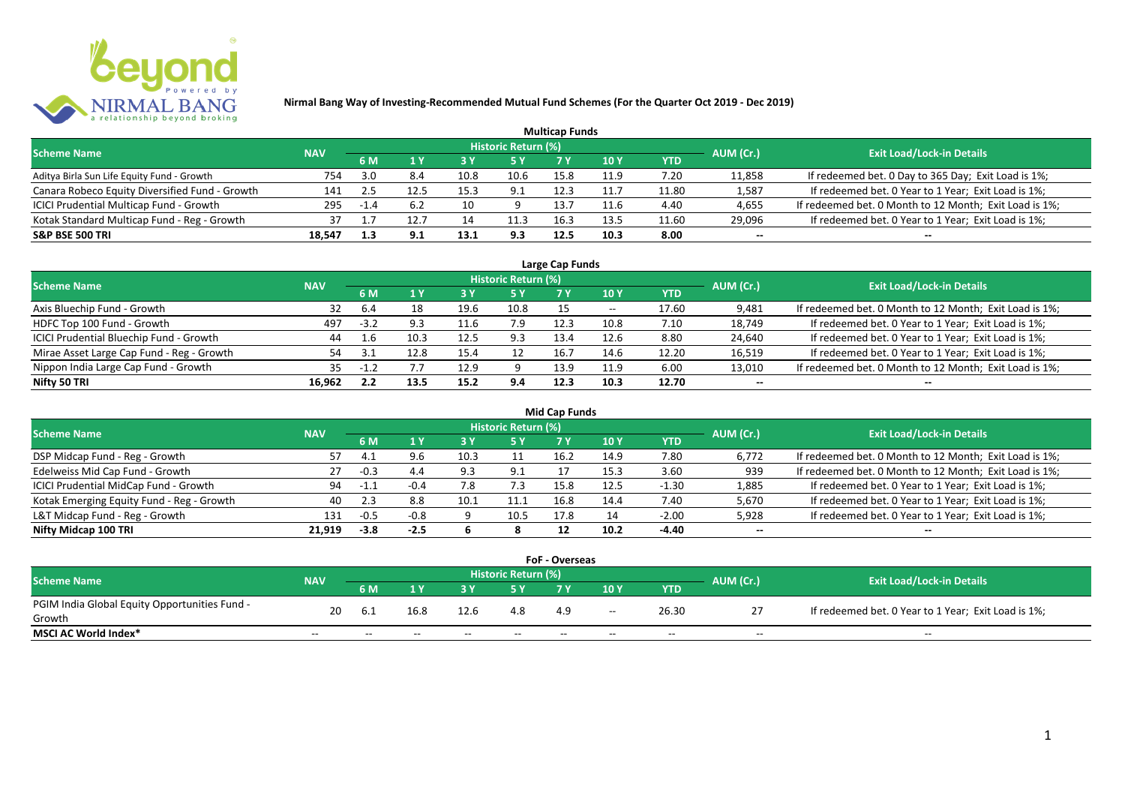

|                                                |            |        |     |      |                            | <b>Multicap Funds</b> |                 |                 |           |                                                        |
|------------------------------------------------|------------|--------|-----|------|----------------------------|-----------------------|-----------------|-----------------|-----------|--------------------------------------------------------|
| <b>Scheme Name</b>                             | <b>NAV</b> |        |     |      | <b>Historic Return (%)</b> |                       |                 |                 | AUM (Cr.) | <b>Exit Load/Lock-in Details</b>                       |
|                                                |            | 6 M    |     | 73 Y |                            |                       | 10 <sub>Y</sub> | YTD             |           |                                                        |
| Aditya Birla Sun Life Equity Fund - Growth     | 754        | 3.0    | 8.4 | 10.8 | 10.6                       | 15.8                  | 11.9            | $^{\prime}$ .20 | 11,858    | If redeemed bet. 0 Day to 365 Day; Exit Load is 1%;    |
| Canara Robeco Equity Diversified Fund - Growth | 141        |        |     | 15.3 | 9.1                        | 12.3                  | 11.7            | 11.80           | 1,587     | If redeemed bet. 0 Year to 1 Year; Exit Load is 1%;    |
| ICICI Prudential Multicap Fund - Growth        | 295        | $-1.4$ |     |      |                            | 13.7                  | 11.6            | 4.40            | 4,655     | If redeemed bet. 0 Month to 12 Month; Exit Load is 1%; |
| Kotak Standard Multicap Fund - Reg - Growth    | 37         |        |     | 14   | 11.3                       | 16.3                  | 13.5            | 11.60           | 29,096    | If redeemed bet. 0 Year to 1 Year; Exit Load is 1%;    |
| <b>S&amp;P BSE 500 TRI</b>                     | 18,547     |        | 9.1 | 13.1 | 9.3                        | 12.5                  | 10.3            | 8.00            | $- -$     | --                                                     |

| Large Cap Funds                           |            |        |      |      |                            |      |       |       |                          |                                                        |  |  |  |
|-------------------------------------------|------------|--------|------|------|----------------------------|------|-------|-------|--------------------------|--------------------------------------------------------|--|--|--|
| <b>Scheme Name</b>                        | <b>NAV</b> |        |      |      | <b>Historic Return (%)</b> |      |       |       | AUM (Cr.)                | <b>Exit Load/Lock-in Details</b>                       |  |  |  |
|                                           |            | 6 M    |      |      | 5 Y                        |      | 10 Y  | YTD   |                          |                                                        |  |  |  |
| Axis Bluechip Fund - Growth               | 32         | 6.4    | 18   | 19.6 | 10.8                       |      | $- -$ | 17.60 | 9,481                    | If redeemed bet. 0 Month to 12 Month; Exit Load is 1%; |  |  |  |
| HDFC Top 100 Fund - Growth                | 497        | $-3.2$ | 9.3  |      | 7.9                        | 12.3 | 10.8  | 7.10  | 18,749                   | If redeemed bet. 0 Year to 1 Year; Exit Load is 1%;    |  |  |  |
| ICICI Prudential Bluechip Fund - Growth   | 44         |        | 10.3 | 12.5 | 9.3                        | 13.4 | 12.6  | 8.80  | 24,640                   | If redeemed bet. 0 Year to 1 Year; Exit Load is 1%;    |  |  |  |
| Mirae Asset Large Cap Fund - Reg - Growth |            |        | 12.8 | 15.4 | 12                         | 16.7 | 14.6  | 12.20 | 16,519                   | If redeemed bet. 0 Year to 1 Year; Exit Load is 1%;    |  |  |  |
| Nippon India Large Cap Fund - Growth      | 35.        | -12    |      | 12.9 |                            | 13.9 | 11.9  | 6.00  | 13,010                   | If redeemed bet. 0 Month to 12 Month; Exit Load is 1%; |  |  |  |
| Nifty 50 TRI                              | 16,962     | 2.2    | 13.5 | 15.2 | 9.4                        | 12.3 | 10.3  | 12.70 | $\overline{\phantom{a}}$ |                                                        |  |  |  |

|                                           |            |        |        |      |                            | Mid Cap Funds |      |            |           |                                                        |
|-------------------------------------------|------------|--------|--------|------|----------------------------|---------------|------|------------|-----------|--------------------------------------------------------|
| <b>Scheme Name</b>                        | <b>NAV</b> |        |        |      | <b>Historic Return (%)</b> |               |      |            | AUM (Cr.) | <b>Exit Load/Lock-in Details</b>                       |
|                                           |            | 6 M    |        |      | 5 Y                        | 7 Y           | 10 Y | <b>YTD</b> |           |                                                        |
| DSP Midcap Fund - Reg - Growth            | ל כ        | 4. J   | 9.6    | 10.3 |                            | 16.2          | 14.9 | 7.80       | 6,772     | If redeemed bet. 0 Month to 12 Month; Exit Load is 1%; |
| Edelweiss Mid Cap Fund - Growth           | 27         | -0.3   | 4.4    | 9.3  | 9.1                        |               | 15.3 | 3.60       | 939       | If redeemed bet. 0 Month to 12 Month; Exit Load is 1%; |
| ICICI Prudential MidCap Fund - Growth     | 94         | $-1.1$ | $-0.4$ |      | 7.3                        | 15.8          | 12.5 | $-1.30$    | 1,885     | If redeemed bet. 0 Year to 1 Year; Exit Load is 1%;    |
| Kotak Emerging Equity Fund - Reg - Growth | 40         |        | 8.8    | 10.1 | 11.1                       | 16.8          | 14.4 | 7.40       | 5,670     | If redeemed bet. 0 Year to 1 Year; Exit Load is 1%;    |
| L&T Midcap Fund - Reg - Growth            | 131        | $-0.5$ | $-0.8$ |      | 10.5                       | 17.8          | 14   | $-2.00$    | 5,928     | If redeemed bet. 0 Year to 1 Year; Exit Load is 1%;    |
| Nifty Midcap 100 TRI                      | 21.919     | $-3.8$ | $-2.5$ |      |                            |               | 10.2 | -4.40      | $- -$     | $- -$                                                  |

|                                               |            |       |       |       |                     | <b>FoF - Overseas</b> |       |       |           |                                                     |
|-----------------------------------------------|------------|-------|-------|-------|---------------------|-----------------------|-------|-------|-----------|-----------------------------------------------------|
| <b>Scheme Name</b>                            | <b>NAV</b> |       |       |       | Historic Return (%) |                       |       |       | AUM (Cr.) | <b>Exit Load/Lock-in Details</b>                    |
|                                               |            | 6 M   |       |       |                     |                       | 10Y   | YTD   |           |                                                     |
| PGIM India Global Equity Opportunities Fund - | 20         |       | 16.8  | 12.6  | 4.8                 | 4.9                   |       | 26.30 |           | If redeemed bet. 0 Year to 1 Year; Exit Load is 1%; |
| Growth                                        |            | 6.1   |       |       |                     |                       | $- -$ |       |           |                                                     |
| MSCI AC World Index*                          | $- -$      | $- -$ | $- -$ | $- -$ | $- -$               | $- -$                 | $- -$ | $- -$ | $- -$     | $- -$                                               |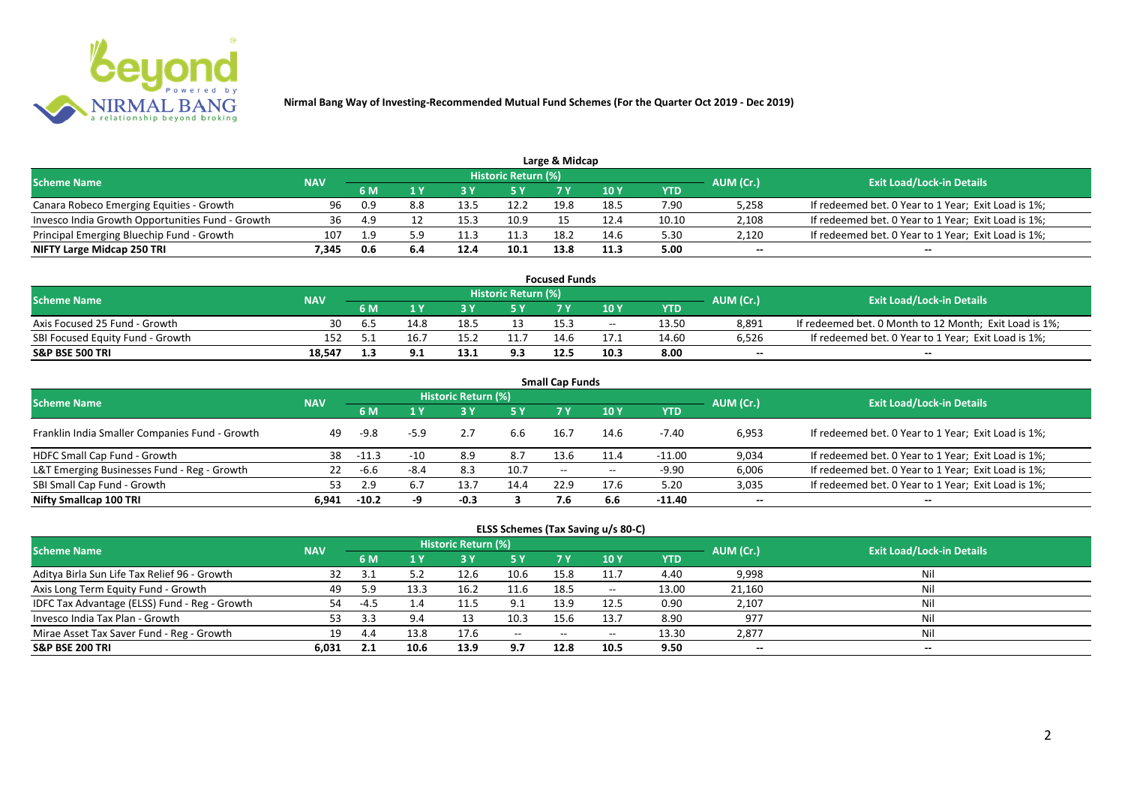

| Large & Midcap                                   |            |     |  |      |                     |      |      |       |           |                                                     |  |  |  |  |
|--------------------------------------------------|------------|-----|--|------|---------------------|------|------|-------|-----------|-----------------------------------------------------|--|--|--|--|
| <b>Scheme Name</b>                               | <b>NAV</b> |     |  |      | Historic Return (%) |      |      |       | AUM (Cr.) | <b>Exit Load/Lock-in Details</b>                    |  |  |  |  |
|                                                  |            |     |  |      | 5 Y                 |      | 10Y  | YTD   |           |                                                     |  |  |  |  |
| Canara Robeco Emerging Equities - Growth         | 96         | 0.9 |  | 13.5 | 12.2                | 19.8 | 18.5 | 7.90  | 5,258     | If redeemed bet. 0 Year to 1 Year; Exit Load is 1%; |  |  |  |  |
| Invesco India Growth Opportunities Fund - Growth | 36         | 4.9 |  |      | 10.9                |      | 12.4 | 10.10 | 2,108     | If redeemed bet. 0 Year to 1 Year; Exit Load is 1%; |  |  |  |  |
| Principal Emerging Bluechip Fund - Growth        | 107        | 9.ء |  |      | 11.3                | 18.2 | 14.6 | 5.30  | 2,120     | If redeemed bet. 0 Year to 1 Year; Exit Load is 1%; |  |  |  |  |
| NIFTY Large Midcap 250 TRI                       | 7.345      | 0.6 |  | 12.4 | 10.1                | 13.8 | 11.3 | 5.00  | $- -$     | $- -$                                               |  |  |  |  |

|                                  |            |     |      |      |                            | <b>Focused Funds</b> |            |       |           |                                                        |
|----------------------------------|------------|-----|------|------|----------------------------|----------------------|------------|-------|-----------|--------------------------------------------------------|
| <b>Scheme Name</b>               | <b>NAV</b> |     |      |      | <b>Historic Return (%)</b> |                      |            |       | AUM (Cr.) | <b>Exit Load/Lock-in Details</b>                       |
|                                  |            | 6 M |      |      | 5 Y                        |                      | <b>10Y</b> | YTD   |           |                                                        |
| Axis Focused 25 Fund - Growth    | 30         | . ხ | 14.8 | 18.5 |                            | 15.3                 | $- -$      | 13.50 | 8,891     | If redeemed bet. 0 Month to 12 Month; Exit Load is 1%; |
| SBI Focused Equity Fund - Growth | 152        |     | 16.  |      |                            | 14 F                 |            | 14.60 | 6,526     | If redeemed bet. 0 Year to 1 Year; Exit Load is 1%;    |
| <b>S&amp;P BSE 500 TRI</b>       | 18.547     |     |      |      | 9.3                        | 12.5                 | 10.3       | 8.00  | $- -$     | $- -$                                                  |

|                                                |            |         |        |                            |      | <b>Small Cap Funds</b> |            |            |           |                                                     |
|------------------------------------------------|------------|---------|--------|----------------------------|------|------------------------|------------|------------|-----------|-----------------------------------------------------|
| <b>Scheme Name</b>                             | <b>NAV</b> |         |        | <b>Historic Return (%)</b> |      |                        |            |            | AUM (Cr.) | <b>Exit Load/Lock-in Details</b>                    |
|                                                |            | 6 M     | 1 Y    | <b>3Y</b>                  | 5 Y  | 7 Y                    | <b>10Y</b> | <b>YTD</b> |           |                                                     |
| Franklin India Smaller Companies Fund - Growth | 49         | -9.8    | $-5.9$ |                            | 6.6  | 16.7                   | 14.6       | -7.40      | 6,953     | If redeemed bet. 0 Year to 1 Year; Exit Load is 1%; |
| HDFC Small Cap Fund - Growth                   | 38         | $-11.3$ | $-10$  | 8.9                        | 8.7  | 13.6                   |            | $-11.00$   | 9,034     | If redeemed bet. 0 Year to 1 Year; Exit Load is 1%; |
| L&T Emerging Businesses Fund - Reg - Growth    | 22         | -6.6    | $-8.4$ | 8.3                        | 10.7 | $- -$                  | $- -$      | $-9.90$    | 6,006     | If redeemed bet. 0 Year to 1 Year; Exit Load is 1%; |
| SBI Small Cap Fund - Growth                    | 53         |         |        | 13.                        | 14.4 | 22.9                   | 17.6       | 5.20       | 3,035     | If redeemed bet. 0 Year to 1 Year; Exit Load is 1%; |
| Nifty Smallcap 100 TRI                         | 6.941      | $-10.2$ |        | -0.3                       |      | 7.6                    | 6.6        | -11.40     | $- -$     | $- -$                                               |

| ELSS Schemes (Tax Saving u/s 80-C)            |            |      |      |                     |               |           |            |            |           |                                  |  |  |
|-----------------------------------------------|------------|------|------|---------------------|---------------|-----------|------------|------------|-----------|----------------------------------|--|--|
| <b>Scheme Name</b>                            | <b>NAV</b> |      |      | Historic Return (%) |               |           |            |            | AUM (Cr.) | <b>Exit Load/Lock-in Details</b> |  |  |
|                                               |            | 6 M  |      | 73 Y                | <b>5Y</b>     | <b>7Y</b> | <b>10Y</b> | <b>YTD</b> |           |                                  |  |  |
| Aditya Birla Sun Life Tax Relief 96 - Growth  |            | 3.1  |      | 12.6                | 10.6          | 15.8      | 11.7       | 4.40       | 9,998     | Nil                              |  |  |
| Axis Long Term Equity Fund - Growth           | 49         | 5.9  | 13.3 | 16.2                | 11.6          | 18.5      | $- -$      | 13.00      | 21,160    | Nil                              |  |  |
| IDFC Tax Advantage (ELSS) Fund - Reg - Growth | 54         | -4.5 | 4.4  | 11.5                | 9.1           | 13.9      | 12.5       | 0.90       | 2,107     | Nil                              |  |  |
| Invesco India Tax Plan - Growth               | 53         | 3.3  | 9.4  | 13                  | 10.3          | 15.6      | 13.7       | 8.90       | 977       | Nil                              |  |  |
| Mirae Asset Tax Saver Fund - Reg - Growth     | 19         | 4.4  | 13.8 | 17.6                | $\sim$ $\sim$ |           |            | 13.30      | 2,877     | Nil                              |  |  |
| S&P BSE 200 TRI                               | 6,031      | 2.1  | 10.6 | 13.9                | 9.7           | 12.8      | 10.5       | 9.50       | $- -$     | $- -$                            |  |  |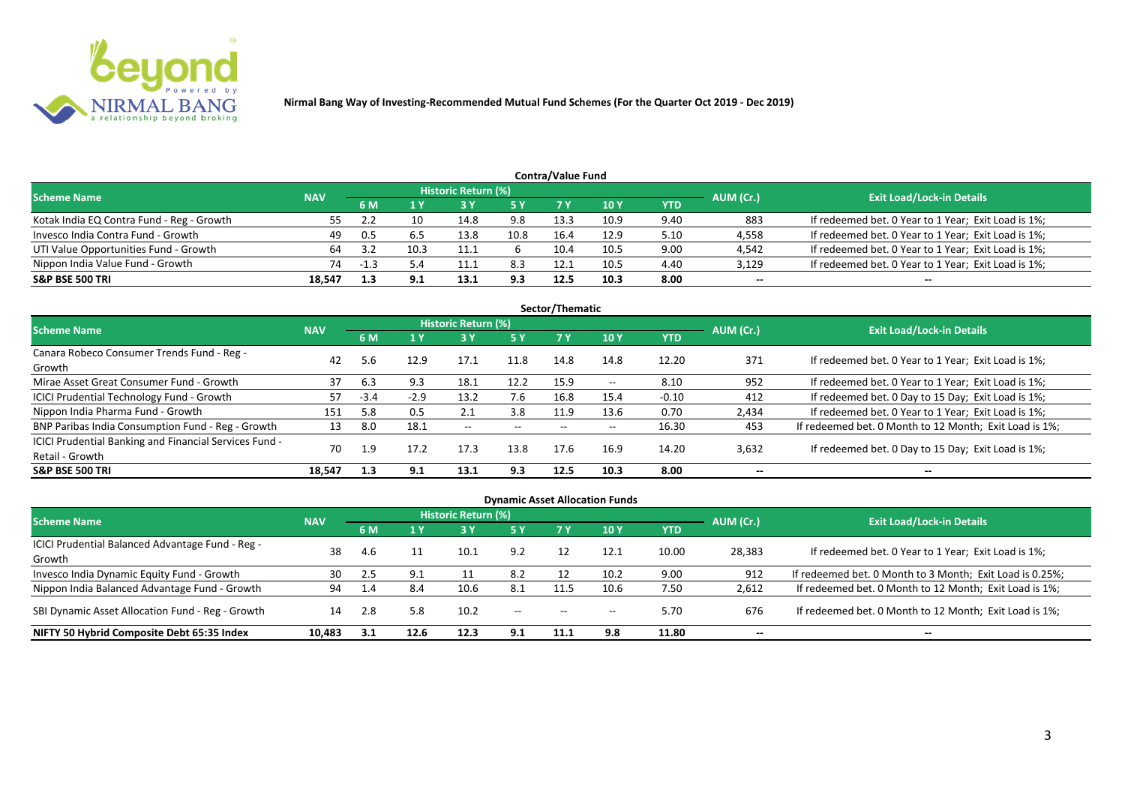

|                                           |            |        |      |                            |      | <b>Contra/Value Fund</b> |             |      |           |                                                     |
|-------------------------------------------|------------|--------|------|----------------------------|------|--------------------------|-------------|------|-----------|-----------------------------------------------------|
| <b>Scheme Name</b>                        | <b>NAV</b> |        |      | <b>Historic Return (%)</b> |      |                          |             |      | AUM (Cr.) | <b>Exit Load/Lock-in Details</b>                    |
|                                           |            | 6 M    |      |                            | 5 Y  | 7 Y                      | <b>10 Y</b> | YTD  |           |                                                     |
| Kotak India EQ Contra Fund - Reg - Growth | 55         |        |      | 14.8                       | 9.8  | 13.3                     | 10.9        | 9.40 | 883       | If redeemed bet. 0 Year to 1 Year; Exit Load is 1%; |
| Invesco India Contra Fund - Growth        | 49         | - 0.5  |      | 13.8                       | 10.8 | 16.4                     | 12.9        | 5.10 | 4,558     | If redeemed bet. 0 Year to 1 Year; Exit Load is 1%; |
| UTI Value Opportunities Fund - Growth     | 64         | -3.2   | 10.3 |                            |      | 10.4                     | 10.5        | 9.00 | 4,542     | If redeemed bet. 0 Year to 1 Year; Exit Load is 1%; |
| Nippon India Value Fund - Growth          | 74         | $\sim$ |      | 11.1                       | 8.3  | 12.1                     | 10.5        | 4.40 | 3,129     | If redeemed bet. 0 Year to 1 Year; Exit Load is 1%; |
| <b>S&amp;P BSE 500 TRI</b>                | 18.547     | 1.3    | 9.1  | 13.1                       | 9.3  | 12.5                     | 10.3        | 8.00 | $- -$     | $- -$                                               |

|                                                        |            |        |        |                     |       | Sector/Thematic |               |            |           |                                                        |
|--------------------------------------------------------|------------|--------|--------|---------------------|-------|-----------------|---------------|------------|-----------|--------------------------------------------------------|
| <b>Scheme Name</b>                                     | <b>NAV</b> |        |        | Historic Return (%) |       |                 |               |            | AUM (Cr.) | <b>Exit Load/Lock-in Details</b>                       |
|                                                        |            | 6 M    | 1 Y    | 73 Y                | 5 Y   | 7 Y             | <b>10Y</b>    | <b>YTD</b> |           |                                                        |
| Canara Robeco Consumer Trends Fund - Reg -             | 42         | 5.6    | 12.9   | 17.1                | 11.8  | 14.8            | 14.8          | 12.20      | 371       | If redeemed bet. 0 Year to 1 Year; Exit Load is 1%;    |
| Growth                                                 |            |        |        |                     |       |                 |               |            |           |                                                        |
| Mirae Asset Great Consumer Fund - Growth               | 37         | 6.3    | 9.3    | 18.1                | 12.2  | 15.9            | $\sim$ $\sim$ | 8.10       | 952       | If redeemed bet. 0 Year to 1 Year; Exit Load is 1%;    |
| <b>ICICI Prudential Technology Fund - Growth</b>       | 57         | $-3.4$ | $-2.9$ | 13.2                | 7.6   | 16.8            | 15.4          | $-0.10$    | 412       | If redeemed bet. 0 Day to 15 Day; Exit Load is 1%;     |
| Nippon India Pharma Fund - Growth                      | 151        | 5.8    | 0.5    |                     | 3.8   | 11.9            | 13.6          | 0.70       | 2,434     | If redeemed bet. 0 Year to 1 Year; Exit Load is 1%;    |
| BNP Paribas India Consumption Fund - Reg - Growth      | 13         | 8.0    | 18.1   | $- -$               | $- -$ | $- -$           | $- -$         | 16.30      | 453       | If redeemed bet. 0 Month to 12 Month; Exit Load is 1%; |
| ICICI Prudential Banking and Financial Services Fund - | 70         |        | 17.2   | 17.3                | 13.8  | 17.6            | 16.9          | 14.20      |           |                                                        |
| Retail - Growth                                        |            | 1.9    |        |                     |       |                 |               |            | 3,632     | If redeemed bet. 0 Day to 15 Day; Exit Load is 1%;     |
| <b>S&amp;P BSE 500 TRI</b>                             | 18.547     | 1.3    | 9.1    | 13.1                | 9.3   | 12.5            | 10.3          | 8.00       | $- -$     | $- -$                                                  |

| <b>Dynamic Asset Allocation Funds</b>                      |            |     |      |                            |            |                          |            |            |           |                                                          |  |  |  |  |
|------------------------------------------------------------|------------|-----|------|----------------------------|------------|--------------------------|------------|------------|-----------|----------------------------------------------------------|--|--|--|--|
| Scheme Name                                                | <b>NAV</b> |     |      | <b>Historic Return (%)</b> |            |                          |            |            | AUM (Cr.) | <b>Exit Load/Lock-in Details</b>                         |  |  |  |  |
|                                                            |            | 6 M |      |                            | <b>5 Y</b> | 7V                       | <b>10Y</b> | <b>YTD</b> |           |                                                          |  |  |  |  |
| ICICI Prudential Balanced Advantage Fund - Reg -<br>Growth | 38         | 4.6 |      | 10.1                       | 9.2        |                          | 12.1       | 10.00      | 28,383    | If redeemed bet. 0 Year to 1 Year; Exit Load is 1%;      |  |  |  |  |
| Invesco India Dynamic Equity Fund - Growth                 | 30         |     | 9.1  |                            | 8.2        |                          | 10.2       | 9.00       | 912       | If redeemed bet. 0 Month to 3 Month; Exit Load is 0.25%; |  |  |  |  |
| Nippon India Balanced Advantage Fund - Growth              | 94         |     | 8.4  | 10.6                       | 8.1        |                          | 10.6       | 7.50       | 2,612     | If redeemed bet. 0 Month to 12 Month; Exit Load is 1%;   |  |  |  |  |
| SBI Dynamic Asset Allocation Fund - Reg - Growth           | 14         | 2.8 | 5.8  | 10.2                       | $- -$      | $\overline{\phantom{a}}$ | $- -$      | 5.70       | 676       | If redeemed bet. 0 Month to 12 Month; Exit Load is 1%;   |  |  |  |  |
| NIFTY 50 Hybrid Composite Debt 65:35 Index                 | 10,483     |     | 12.6 | 12.3                       | 9.1        | 11.1                     | 9.8        | 11.80      | $- -$     | $- -$                                                    |  |  |  |  |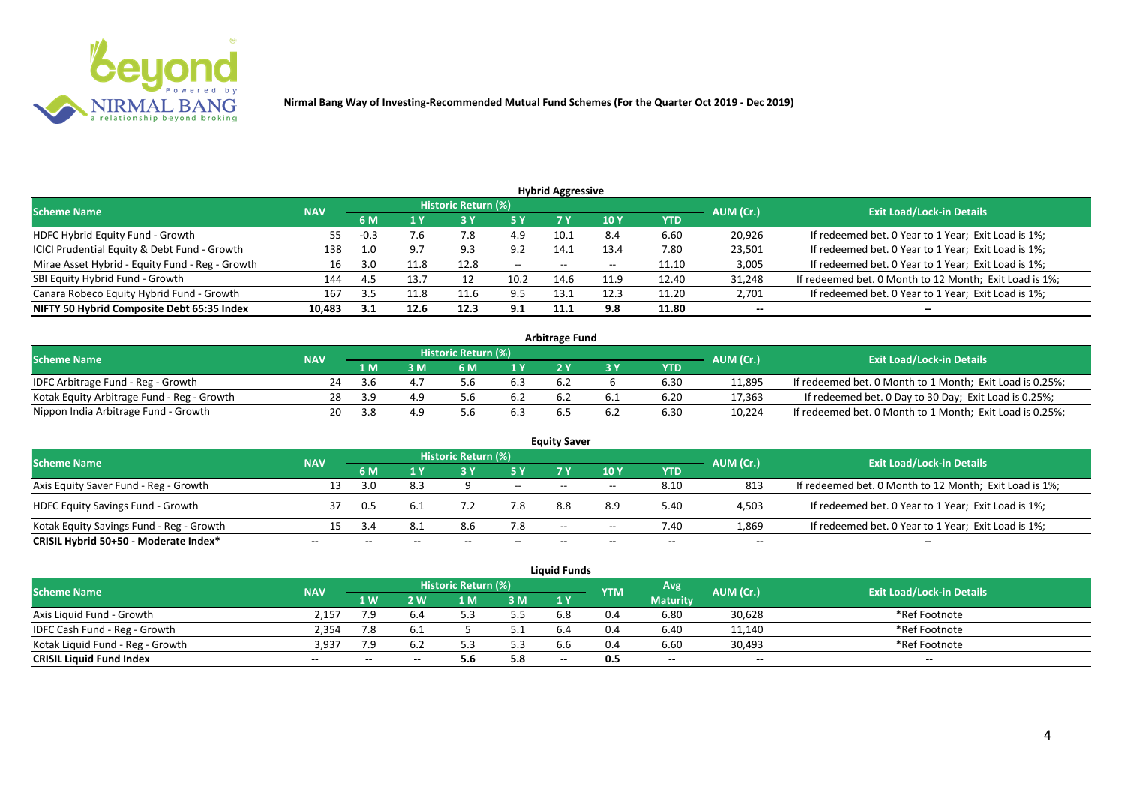

| <b>Hybrid Aggressive</b>                        |            |        |      |                            |       |                          |                 |            |           |                                                        |  |  |  |
|-------------------------------------------------|------------|--------|------|----------------------------|-------|--------------------------|-----------------|------------|-----------|--------------------------------------------------------|--|--|--|
| <b>Scheme Name</b>                              | <b>NAV</b> |        |      | <b>Historic Return (%)</b> |       |                          |                 |            | AUM (Cr.) | <b>Exit Load/Lock-in Details</b>                       |  |  |  |
|                                                 |            | 6 M    |      |                            | 5 Y   |                          | 10 <sub>1</sub> | <b>YTD</b> |           |                                                        |  |  |  |
| HDFC Hybrid Equity Fund - Growth                | 55         | $-0.3$ | 7.6  | 7.8                        | 4.9   | 10.1                     | 8.4             | 6.60       | 20,926    | If redeemed bet. 0 Year to 1 Year; Exit Load is 1%;    |  |  |  |
| ICICI Prudential Equity & Debt Fund - Growth    | 138        | 1.0    |      | 9.3                        | 9.2   | 14.1                     | 13.4            | 7.80       | 23,501    | If redeemed bet. 0 Year to 1 Year; Exit Load is 1%;    |  |  |  |
| Mirae Asset Hybrid - Equity Fund - Reg - Growth | 16         | 3.U    |      | 12.8                       | $- -$ | $\overline{\phantom{a}}$ | $- -$           | 11.10      | 3,005     | If redeemed bet. 0 Year to 1 Year; Exit Load is 1%;    |  |  |  |
| SBI Equity Hybrid Fund - Growth                 | 144        | 4.5    | 13.7 |                            | 10.2  | 14.6                     | 11.9            | 12.40      | 31,248    | If redeemed bet. 0 Month to 12 Month; Exit Load is 1%; |  |  |  |
| Canara Robeco Equity Hybrid Fund - Growth       | 167        |        |      | 11.6                       | 9.5   | 13.                      | 12.3            | 11.20      | 2,701     | If redeemed bet. 0 Year to 1 Year; Exit Load is 1%;    |  |  |  |
| NIFTY 50 Hybrid Composite Debt 65:35 Index      | 10,483     | - 3.1  | 12.6 | 12.3                       | 9.1   | 11.1                     | 9.8             | 11.80      | $- -$     | $- -$                                                  |  |  |  |

| <b>Arbitrage Fund</b>                      |            |              |     |                     |     |  |     |      |           |                                                          |  |  |  |
|--------------------------------------------|------------|--------------|-----|---------------------|-----|--|-----|------|-----------|----------------------------------------------------------|--|--|--|
| <b>Scheme Name</b>                         | <b>NAV</b> |              |     | Historic Return (%) |     |  |     |      | AUM (Cr.) | <b>Exit Load/Lock-in Details</b>                         |  |  |  |
|                                            |            | 1 M          |     |                     | 1 V |  |     | YTD  |           |                                                          |  |  |  |
| IDFC Arbitrage Fund - Reg - Growth         |            | - 3 h        |     |                     | 6.3 |  |     | 6.30 | 11,895    | If redeemed bet. 0 Month to 1 Month; Exit Load is 0.25%; |  |  |  |
| Kotak Equity Arbitrage Fund - Reg - Growth | 28         | - 2 G        | 4 Q |                     | 6.2 |  |     | 6.20 | 17,363    | If redeemed bet. 0 Day to 30 Day; Exit Load is 0.25%;    |  |  |  |
| Nippon India Arbitrage Fund - Growth       |            | — <b>2 X</b> | 4.9 |                     |     |  | 6.2 | 6.30 | 10,224    | If redeemed bet. 0 Month to 1 Month; Exit Load is 0.25%; |  |  |  |

|                                          |            |       |     | <b>Historic Return (%)</b> |       | <b>Equity Saver</b> |            |      |           |                                                        |
|------------------------------------------|------------|-------|-----|----------------------------|-------|---------------------|------------|------|-----------|--------------------------------------------------------|
| <b>Scheme Name</b>                       | <b>NAV</b> | 6 M   |     |                            | 5 Y   |                     | <b>10Y</b> | YTD  | AUM (Cr.) | <b>Exit Load/Lock-in Details</b>                       |
| Axis Equity Saver Fund - Reg - Growth    | 13         | 3.O   | 8.3 |                            | $ -$  | $-$                 | $- -$      | 8.10 | 813       | If redeemed bet. 0 Month to 12 Month; Exit Load is 1%; |
| <b>HDFC Equity Savings Fund - Growth</b> |            |       | 6.1 |                            | 7.8   | 8.8                 | 8.9        | 5.40 | 4,503     | If redeemed bet. 0 Year to 1 Year; Exit Load is 1%;    |
| Kotak Equity Savings Fund - Reg - Growth | 15         | -≺ 41 | 8.1 |                            | 7.8   | $-$                 | $- -$      | 7.40 | 1,869     | If redeemed bet. 0 Year to 1 Year; Exit Load is 1%;    |
| CRISIL Hybrid 50+50 - Moderate Index*    | --         |       |     |                            | $- -$ | $- -$               | --         | $-$  | $- -$     | $-$                                                    |

| <b>Liquid Funds</b>              |            |                |       |                            |     |       |            |                 |           |                                  |  |  |  |
|----------------------------------|------------|----------------|-------|----------------------------|-----|-------|------------|-----------------|-----------|----------------------------------|--|--|--|
| <b>Scheme Name</b>               | <b>NAV</b> |                |       | <b>Historic Return (%)</b> |     |       | <b>YTM</b> | Avg             | AUM (Cr.) | <b>Exit Load/Lock-in Details</b> |  |  |  |
|                                  |            | 1 <sub>W</sub> | ואי י | 1 M                        | 3 M | 1 Y   |            | <b>Maturity</b> |           |                                  |  |  |  |
| Axis Liguid Fund - Growth        | 2.157      |                |       |                            | 5.5 |       |            | 6.80            | 30,628    | *Ref Footnote                    |  |  |  |
| IDFC Cash Fund - Reg - Growth    | 2.354      |                | b.1   |                            |     |       | 0.4        | 6.40            | 11,140    | *Ref Footnote                    |  |  |  |
| Kotak Liguid Fund - Reg - Growth | 3,937      |                |       |                            | 5.3 |       | 0.4        | 6.60            | 30,493    | *Ref Footnote                    |  |  |  |
| <b>CRISIL Liquid Fund Index</b>  | $- -$      | $- -$          | --    | J.C                        | 5.8 | $- -$ | 0.5        | $-$             | $- -$     | $- -$                            |  |  |  |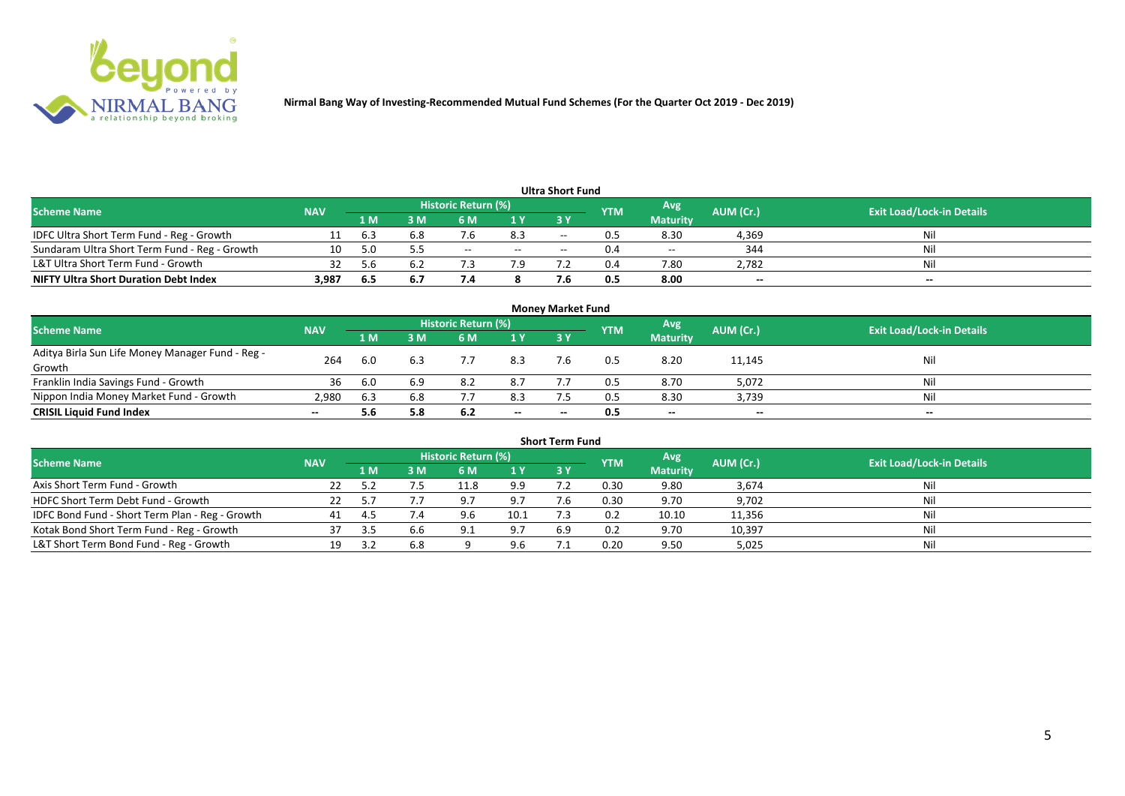

| <b>Ultra Short Fund</b>                       |            |      |     |                            |       |                          |            |                 |           |                                  |  |  |  |
|-----------------------------------------------|------------|------|-----|----------------------------|-------|--------------------------|------------|-----------------|-----------|----------------------------------|--|--|--|
| <b>Scheme Name</b>                            | <b>NAV</b> |      |     | <b>Historic Return (%)</b> |       |                          | <b>YTM</b> | Avg.            | AUM (Cr.) | <b>Exit Load/Lock-in Details</b> |  |  |  |
|                                               |            | 1 M  | M   | 5 M                        | 1 Y   | 3 Y                      |            | <b>Maturity</b> |           |                                  |  |  |  |
| IDFC Ultra Short Term Fund - Reg - Growth     |            | -6.3 | 6.8 |                            | 8.3   | $-$                      |            | 8.30            | 4,369     | Nil                              |  |  |  |
| Sundaram Ultra Short Term Fund - Reg - Growth | 10         | 5 O  |     | $- -$                      | $- -$ | $\overline{\phantom{a}}$ |            | $- -$           | 344       | Nil                              |  |  |  |
| L&T Ultra Short Term Fund - Growth            | 32         | 56 h | 6.4 |                            | 7.9   |                          |            | 7.80            | 2,782     | Nil                              |  |  |  |
| <b>NIFTY Ultra Short Duration Debt Index</b>  | 3,987      | -6.5 | 6.7 | , 4                        |       |                          | 0.5        | 8.00            | $-$       | $-$                              |  |  |  |

| <b>Money Market Fund</b>                         |                          |     |     |                     |       |           |            |                 |           |                                  |  |  |  |
|--------------------------------------------------|--------------------------|-----|-----|---------------------|-------|-----------|------------|-----------------|-----------|----------------------------------|--|--|--|
| <b>Scheme Name</b>                               | <b>NAV</b>               |     |     | Historic Return (%) |       |           | <b>YTM</b> | Avg.            | AUM (Cr.) | <b>Exit Load/Lock-in Details</b> |  |  |  |
|                                                  |                          | 1 M | I M | 6 M                 | 1Y    | <b>3Y</b> |            | <b>Maturity</b> |           |                                  |  |  |  |
| Aditya Birla Sun Life Money Manager Fund - Reg - | 264                      | 6.0 | 6.3 |                     | 8.3   |           |            | 8.20            | 11,145    | Nil                              |  |  |  |
| Growth                                           |                          |     |     |                     |       |           |            |                 |           |                                  |  |  |  |
| Franklin India Savings Fund - Growth             | 36                       | 6.0 | 6.9 | 8.2                 | 8.7   |           |            | 8.70            | 5,072     | Nil                              |  |  |  |
| Nippon India Money Market Fund - Growth          | 2,980                    | 6.3 | 6.8 |                     | 8.3   |           | 0.5        | 8.30            | 3,739     | Nil                              |  |  |  |
| <b>CRISIL Liquid Fund Index</b>                  | $\overline{\phantom{a}}$ |     | 5.8 | 6.2                 | $- -$ |           |            | $-$             | $- -$     | $- -$                            |  |  |  |

| <b>Short Term Fund</b>                          |            |     |     |                            |      |     |            |                 |           |                                  |  |  |  |  |
|-------------------------------------------------|------------|-----|-----|----------------------------|------|-----|------------|-----------------|-----------|----------------------------------|--|--|--|--|
| <b>Scheme Name</b>                              | <b>NAV</b> |     |     | <b>Historic Return (%)</b> |      |     | <b>YTM</b> | Avg             | AUM (Cr.) | <b>Exit Load/Lock-in Details</b> |  |  |  |  |
|                                                 |            | 1 M | I M | 6 M                        | 1Y   | 3 Y |            | <b>Maturity</b> |           |                                  |  |  |  |  |
| Axis Short Term Fund - Growth                   |            |     |     | 11.8                       | 9.9  |     | 0.30       | 9.80            | 3,674     | Nil                              |  |  |  |  |
| HDFC Short Term Debt Fund - Growth              |            |     |     |                            | 9.7  | 7.6 | 0.30       | 9.70            | 9,702     | Nil                              |  |  |  |  |
| IDFC Bond Fund - Short Term Plan - Reg - Growth | 41         |     |     |                            | 10.1 |     | 0.2        | 10.10           | 11,356    | Nil                              |  |  |  |  |
| Kotak Bond Short Term Fund - Reg - Growth       | 37         | 3.5 | 6.6 |                            | 9.7  | 6.9 | 0.2        | 9.70            | 10,397    | Nil                              |  |  |  |  |
| L&T Short Term Bond Fund - Reg - Growth         | 19.        |     | 6.8 |                            | 9.6  |     | 0.20       | 9.50            | 5,025     | Nil                              |  |  |  |  |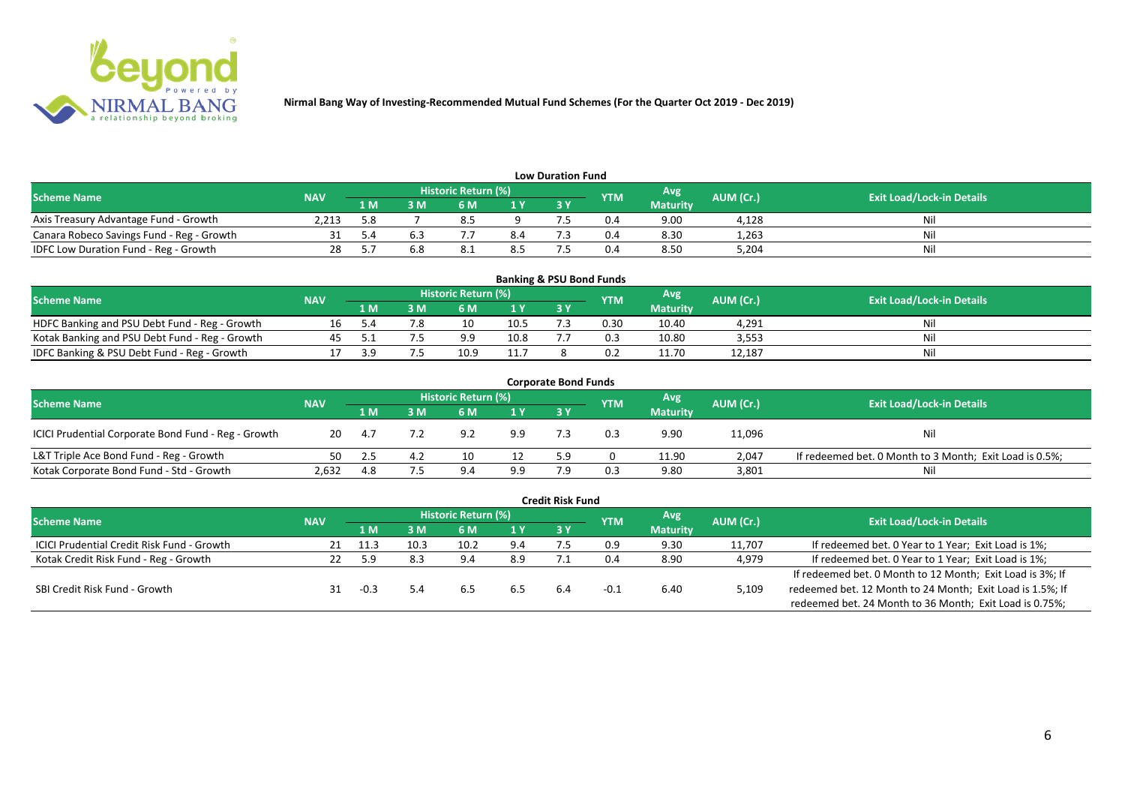

| <b>Low Duration Fund</b>                  |            |     |    |                            |     |    |            |                 |           |                                  |  |  |  |  |
|-------------------------------------------|------------|-----|----|----------------------------|-----|----|------------|-----------------|-----------|----------------------------------|--|--|--|--|
| <b>Scheme Name</b>                        | <b>NAV</b> |     |    | <b>Historic Return (%)</b> |     |    | <b>YTM</b> | Avg             | AUM (Cr.) | <b>Exit Load/Lock-in Details</b> |  |  |  |  |
|                                           |            | 1 M | ΒM |                            | 1 Y | 3Y |            | <b>Maturity</b> |           |                                  |  |  |  |  |
| Axis Treasury Advantage Fund - Growth     | 2.213      | 5.8 |    | O.3                        |     |    | 0.4        | 9.00            | 4,128     | Ni                               |  |  |  |  |
| Canara Robeco Savings Fund - Reg - Growth |            |     |    |                            | 8.4 |    | 0.4        | 8.30            | 1,263     |                                  |  |  |  |  |
| IDFC Low Duration Fund - Reg - Growth     |            |     |    | ـ . 0                      | 8.5 |    | 0.4        | 8.50            | 5,204     | Ni                               |  |  |  |  |

| <b>Banking &amp; PSU Bond Funds</b>            |            |      |     |                            |      |       |            |                 |           |                                  |  |  |  |
|------------------------------------------------|------------|------|-----|----------------------------|------|-------|------------|-----------------|-----------|----------------------------------|--|--|--|
| <b>Scheme Name</b>                             | <b>NAV</b> |      |     | <b>Historic Return (%)</b> |      |       | <b>YTM</b> | Avg             | AUM (Cr.) | <b>Exit Load/Lock-in Details</b> |  |  |  |
|                                                |            | 1 M' | 3 M |                            | 1 Y  | 73 Y. |            | <b>Maturity</b> |           |                                  |  |  |  |
| HDFC Banking and PSU Debt Fund - Reg - Growth  |            |      |     | 10                         | 10.5 |       | 0.30       | 10.40           | 4,291     |                                  |  |  |  |
| Kotak Banking and PSU Debt Fund - Reg - Growth |            |      |     | a a                        | 10.8 |       |            | 10.80           | 3,553     | Ni                               |  |  |  |
| IDFC Banking & PSU Debt Fund - Reg - Growth    |            |      |     | 10.9                       | 11.7 |       |            | 11.70           | 12,187    | Ni                               |  |  |  |

| <b>Corporate Bond Funds</b>                         |            |      |     |                            |     |           |            |                 |           |                                                         |  |  |  |
|-----------------------------------------------------|------------|------|-----|----------------------------|-----|-----------|------------|-----------------|-----------|---------------------------------------------------------|--|--|--|
| <b>Scheme Name</b>                                  | <b>NAV</b> |      |     | <b>Historic Return (%)</b> |     |           | <b>YTM</b> | Avg             | AUM (Cr.) | <b>Exit Load/Lock-in Details</b>                        |  |  |  |
|                                                     |            | 1 M  | 3 M | 6 M                        | 1 Y | <b>3Y</b> |            | <b>Maturity</b> |           |                                                         |  |  |  |
| ICICI Prudential Corporate Bond Fund - Reg - Growth | 20         | -4.7 |     | 9.2                        | 9.9 |           | 0.3        | 9.90            | 11,096    | Nil                                                     |  |  |  |
| L&T Triple Ace Bond Fund - Reg - Growth             | 50         |      |     | 10                         |     | 5.9       |            | 11.90           | 2,047     | If redeemed bet. 0 Month to 3 Month; Exit Load is 0.5%; |  |  |  |
| Kotak Corporate Bond Fund - Std - Growth            | 2,632      | 4.8  |     | 9 <sub>4</sub>             | 9.9 |           | 0.3        | 9.80            | 3,801     | Ni                                                      |  |  |  |

|                                                   |            |      |      |                     |     | <b>Credit Risk Fund</b> |            |                 |           |                                                           |
|---------------------------------------------------|------------|------|------|---------------------|-----|-------------------------|------------|-----------------|-----------|-----------------------------------------------------------|
| <b>Scheme Name</b>                                | <b>NAV</b> |      |      | Historic Return (%) |     |                         | <b>YTM</b> | Avg             | AUM (Cr.) | <b>Exit Load/Lock-in Details</b>                          |
|                                                   |            | 1 M  | ١M   | 6 M                 | 1 Y | 3Y                      |            | <b>Maturity</b> |           |                                                           |
| <b>ICICI Prudential Credit Risk Fund - Growth</b> | 21         | 11.3 | 10.3 | 10.2                | 9.4 |                         | 0.9        | 9.30            | 11,707    | If redeemed bet. 0 Year to 1 Year; Exit Load is 1%;       |
| Kotak Credit Risk Fund - Reg - Growth             | 22         | 59   | 8.3  | 9.4                 | 8.9 |                         | 0.4        | 8.90            | 4,979     | If redeemed bet. 0 Year to 1 Year; Exit Load is 1%;       |
|                                                   |            |      |      |                     |     |                         |            |                 |           | If redeemed bet. 0 Month to 12 Month; Exit Load is 3%; If |
| SBI Credit Risk Fund - Growth                     |            |      |      | 6.5                 | 6.5 | 6.4                     | -0.1       | 6.40            | 5,109     | redeemed bet. 12 Month to 24 Month; Exit Load is 1.5%; If |
|                                                   |            |      |      |                     |     |                         |            |                 |           | redeemed bet. 24 Month to 36 Month; Exit Load is 0.75%;   |